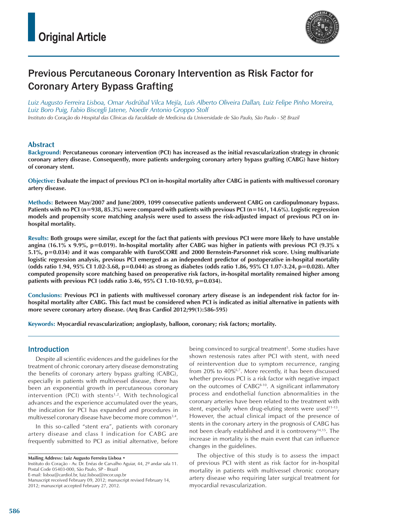

# Previous Percutaneous Coronary Intervention as Risk Factor for Coronary Artery Bypass Grafting

*Luiz Augusto Ferreira Lisboa, Omar Asdrúbal Vilca Mejía, Luís Alberto Oliveira Dallan, Luiz Felipe Pinho Moreira, Luiz Boro Puig, Fabio Biscegli Jatene, Noedir Antonio Groppo Stolf Instituto do Coração do Hospital das Clínicas da Faculdade de Medicina da Universidade de São Paulo, São Paulo - SP, Brazil*

#### **Abstract**

**Background: Percutaneous coronary intervention (PCI) has increased as the initial revascularization strategy in chronic coronary artery disease. Consequently, more patients undergoing coronary artery bypass grafting (CABG) have history of coronary stent.**

**Objective: Evaluate the impact of previous PCI on in-hospital mortality after CABG in patients with multivessel coronary artery disease.** 

**Methods: Between May/2007 and June/2009, 1099 consecutive patients underwent CABG on cardiopulmonary bypass. Patients with no PCI (n=938, 85.3%) were compared with patients with previous PCI (n=161, 14.6%). Logistic regression models and propensity score matching analysis were used to assess the risk-adjusted impact of previous PCI on inhospital mortality.** 

**Results: Both groups were similar, except for the fact that patients with previous PCI were more likely to have unstable angina (16.1% x 9.9%, p=0.019). In-hospital mortality after CABG was higher in patients with previous PCI (9.3% x 5.1%, p=0.034) and it was comparable with EuroSCORE and 2000 Bernstein-Parsonnet risk score. Using multivariate logistic regression analysis, previous PCI emerged as an independent predictor of postoperative in-hospital mortality (odds ratio 1.94, 95% CI 1.02-3.68, p=0.044) as strong as diabetes (odds ratio 1.86, 95% CI 1.07-3.24, p=0.028). After computed propensity score matching based on preoperative risk factors, in-hospital mortality remained higher among patients with previous PCI (odds ratio 3.46, 95% CI 1.10-10.93, p=0.034).** 

**Conclusions: Previous PCI in patients with multivessel coronary artery disease is an independent risk factor for inhospital mortality after CABG. This fact must be considered when PCI is indicated as initial alternative in patients with more severe coronary artery disease. (Arq Bras Cardiol 2012;99(1):586-595)**

**Keywords: Myocardial revascularization; angioplasty, balloon, coronary; risk factors; mortality.**

#### Introduction

Despite all scientific evidences and the guidelines for the treatment of chronic coronary artery disease demonstrating the benefits of coronary artery bypass grafting (CABG), especially in patients with multivessel disease, there has been an exponential growth in percutaneous coronary intervention (PCI) with stents $1,2$ . With technological advances and the experience accumulated over the years, the indication for PCI has expanded and procedures in multivessel coronary disease have become more common<sup>3,4</sup>.

In this so-called "stent era", patients with coronary artery disease and class I indication for CABG are frequently submitted to PCI as initial alternative, before

**Mailing Address: Luiz Augusto Ferreira Lisboa •** 

Instituto do Coração - Av. Dr. Enéas de Carvalho Aguiar, 44, 2º andar sala 11. Postal Code 05403-000, São Paulo, SP - Brazil E-mail: lisboa@cardiol.br, luiz.lisboa@incor.usp.br

being convinced to surgical treatment<sup>5</sup>. Some studies have shown restenosis rates after PCI with stent, with need of reintervention due to symptom recurrence, ranging from 20% to 40%<sup>6,7</sup>. More recently, it has been discussed whether previous PCI is a risk factor with negative impact on the outcomes of CABG<sup>8-10</sup>. A significant inflammatory process and endothelial function abnormalities in the coronary arteries have been related to the treatment with stent, especially when drug-eluting stents were used $11-13$ . However, the actual clinical impact of the presence of stents in the coronary artery in the prognosis of CABG has not been clearly established and it is controversy<sup>14,15</sup>. The increase in mortality is the main event that can influence changes in the guidelines.

The objective of this study is to assess the impact of previous PCI with stent as risk factor for in-hospital mortality in patients with multivessel chronic coronary artery disease who requiring later surgical treatment for myocardial revascularization.

Manuscript received February 09, 2012; manuscript revised February 14, 2012; manuscript accepted February 27, 2012.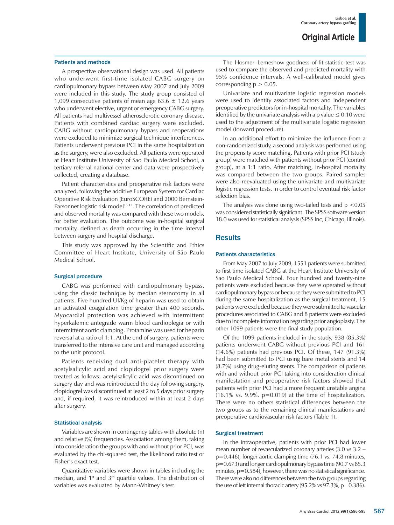#### Patients and methods

A prospective observational design was used. All patients who underwent first-time isolated CABG surgery on cardiopulmonary bypass between May 2007 and July 2009 were included in this study. The study group consisted of 1,099 consecutive patients of mean age 63.6  $\pm$  12.6 years who underwent elective, urgent or emergency CABG surgery. All patients had multivessel atherosclerotic coronary disease. Patients with combined cardiac surgery were excluded. CABG without cardiopulmonary bypass and reoperations were excluded to minimize surgical technique interferences. Patients underwent previous PCI in the same hospitalization as the surgery, were also excluded. All patients were operated at Heart Institute University of Sao Paulo Medical School, a tertiary referral national center and data were prospectively collected, creating a database.

Patient characteristics and preoperative risk factors were analyzed, following the additive European System for Cardiac Operative Risk Evaluation (EuroSCORE) and 2000 Bernstein-Parsonnet logistic risk model<sup>16,17</sup>. The correlation of predicted and observed mortality was compared with these two models, for better evaluation. The outcome was in-hospital surgical mortality, defined as death occurring in the time interval between surgery and hospital discharge.

This study was approved by the Scientific and Ethics Committee of Heart Institute, University of São Paulo Medical School.

#### Surgical procedure

CABG was performed with cardiopulmonary bypass, using the classic technique by median sternotomy in all patients. Five hundred UI/Kg of heparin was used to obtain an activated coagulation time greater than 400 seconds. Myocardial protection was achieved with intermittent hyperkalemic antegrade warm blood cardioplegia or with intermittent aortic clamping. Protamine was used for heparin reversal at a ratio of 1:1. At the end of surgery, patients were transferred to the intensive care unit and managed according to the unit protocol.

Patients receiving dual anti-platelet therapy with acetylsalicylic acid and clopidogrel prior surgery were treated as follows: acetylsalicylic acid was discontinued on surgery day and was reintroduced the day following surgery, clopidogrel was discontinued at least 2 to 5 days prior surgery and, if required, it was reintroduced within at least 2 days after surgery.

#### Statistical analysis

Variables are shown in contingency tables with absolute (n) and relative (%) frequencies. Association among them, taking into consideration the groups with and without prior PCI, was evaluated by the chi-squared test, the likelihood ratio test or Fisher's exact test.

Quantitative variables were shown in tables including the median, and  $1<sup>st</sup>$  and  $3<sup>rd</sup>$  quartile values. The distribution of variables was evaluated by Mann-Whitney's test.

The Hosmer–Lemeshow goodness-of-fit statistic test was used to compare the observed and predicted mortality with 95% confidence intervals. A well-calibrated model gives corresponding  $p > 0.05$ .

Univariate and multivariate logistic regression models were used to identify associated factors and independent preoperative predictors for in-hospital mortality. The variables identified by the univariate analysis with a p value  $\leq 0.10$  were used to the adjustment of the multivariate logistic regression model (forward procedure).

In an additional effort to minimize the influence from a non-randomized study, a second analysis was performed using the propensity score matching. Patients with prior PCI (study group) were matched with patients without prior PCI (control group), at a 1:1 ratio. After matching, in-hospital mortality was compared between the two groups. Paired samples were also reevaluated using the univariate and multivariate logistic regression tests, in order to control eventual risk factor selection bias.

The analysis was done using two-tailed tests and  $p < 0.05$ was considered statistically significant. The SPSS software version 18.0 was used for statistical analysis (SPSS Inc, Chicago, Illinois).

#### **Results**

#### Patients characteristics

From May 2007 to July 2009, 1551 patients were submitted to first time isolated CABG at the Heart Institute University of Sao Paulo Medical School. Four hundred and twenty-nine patients were excluded because they were operated without cardiopulmonary bypass or because they were submitted to PCI during the same hospitalization as the surgical treatment, 15 patients were excluded because they were submitted to vascular procedures associated to CABG and 8 patients were excluded due to incomplete information regarding prior angioplasty. The other 1099 patients were the final study population.

Of the 1099 patients included in the study, 938 (85.3%) patients underwent CABG without previous PCI and 161 (14.6%) patients had previous PCI. Of these, 147 (91.3%) had been submitted to PCI using bare metal stents and 14 (8.7%) using drug-eluting stents. The comparison of patients with and without prior PCI taking into consideration clinical manifestation and preoperative risk factors showed that patients with prior PCI had a more frequent unstable angina  $(16.1\% \text{ vs. } 9.9\%, \text{ p}=0.019)$  at the time of hospitalization. There were no others statistical differences between the two groups as to the remaining clinical manifestations and preoperative cardiovascular risk factors (Table 1).

#### Surgical treatment

In the intraoperative, patients with prior PCI had lower mean number of revascularized coronary arteries (3.0 vs 3.2 – p=0.446), longer aortic clamping time (76.1 vs. 74.8 minutes, p=0.673) and longer cardiopulmonary bypass time (90.7 vs 85.3 minutes,  $p=0.584$ ), however, there was no statistical significance. There were also no differences between the two groups regarding the use of left internal thoracic artery (95.2% vs 97.3%, p=0.386).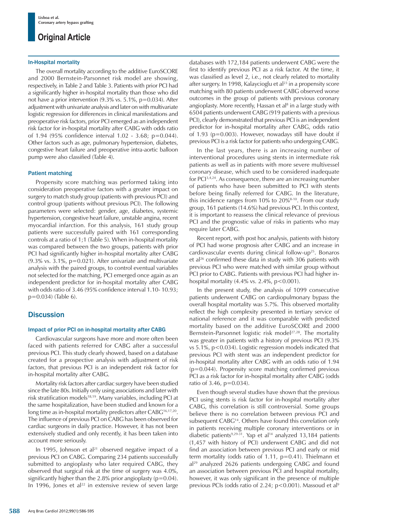#### In-Hospital mortality

The overall mortality according to the additive EuroSCORE and 2000 Bernstein-Parsonnet risk model are showing, respectively, in Table 2 and Table 3. Patients with prior PCI had a significantly higher in-hospital mortality than those who did not have a prior intervention (9.3% vs. 5.1%, p=0.034). After adjustment with univariate analysis and later on with multivariate logistic regression for differences in clinical manifestations and preoperative risk factors, prior PCI emerged as an independent risk factor for in-hospital mortality after CABG with odds ratio of 1.94 (95% confidence interval 1.02 - 3.68; p=0.044). Other factors such as age, pulmonary hypertension, diabetes, congestive heart failure and preoperative intra-aortic balloon pump were also classified (Table 4).

#### Patient matching

Propensity score matching was performed taking into consideration preoperative factors with a greater impact on surgery to match study group (patients with previous PCI) and control group (patients without previous PCI). The following parameters were selected: gender, age, diabetes, systemic hypertension, congestive heart failure, unstable angina, recent myocardial infarction. For this analysis, 161 study group patients were successfully paired with 161 corresponding controls at a ratio of 1;1 (Table 5). When in-hospital mortality was compared between the two groups, patients with prior PCI had significantly higher in-hospital mortality after CABG (9.3% vs. 3.1%, p=0.021). After univariate and multivariate analysis with the paired groups, to control eventual variables not selected for the matching, PCI emerged once again as an independent predictor for in-hospital mortality after CABG with odds ratio of 3.46 (95% confidence interval 1.10- 10.93; p=0.034) (Table 6).

#### **Discussion**

#### Impact of prior PCI on in-hospital mortality after CABG

Cardiovascular surgeons have more and more often been faced with patients referred for CABG after a successful previous PCI. This study clearly showed, based on a database created for a prospective analysis with adjustment of risk factors, that previous PCI is an independent risk factor for in-hospital mortality after CABG.

Mortality risk factors after cardiac surgery have been studied since the late 80s. Initially only using associations and later with risk stratification models18,19. Many variables, including PCI at the same hospitalization, have been studied and known for a long time as in-hospital mortality predictors after CABG<sup>16,17,20</sup>. The influence of previous PCI on CABG has been observed for cardiac surgeons in daily practice. However, it has not been extensively studied and only recently, it has been taken into account more seriously.

In 1995, Johnson et al<sup>21</sup> observed negative impact of a previous PCI on CABG. Comparing 234 patients successfully submitted to angioplasty who later required CABG, they observed that surgical risk at the time of surgery was 4.0%, significantly higher than the 2.8% prior angioplasty ( $p=0.04$ ). In 1996, Jones et al<sup>22</sup> in extensive review of seven large databases with 172,184 patients underwent CABG were the first to identify previous PCI as a risk factor. At the time, it was classified as level 2, i.e., not clearly related to mortality after surgery. In 1998, Kalaycioglu et al<sup>23</sup> in a propensity score matching with 80 patients underwent CABG observed worse outcomes in the group of patients with previous coronary angioplasty. More recently, Hassan et al<sup>8</sup> in a large study with 6504 patients underwent CABG (919 patients with a previous PCI), clearly demonstrated that previous PCI is an independent predictor for in-hospital mortality after CABG, odds ratio of 1.93 (p=0.003). However, nowadays still have doubt if previous PCI is a risk factor for patients who undergoing CABG.

In the last years, there is an increasing number of interventional procedures using stents in intermediate risk patients as well as in patients with more severe multivessel coronary disease, which used to be considered inadequate for PCI3,4,24. As consequence, there are an increasing number of patients who have been submitted to PCI with stents before being finally referred for CABG. In the literature, this incidence ranges from  $10\%$  to  $20\%$ <sup>8-10</sup>. From our study group, 161 patients (14.6%) had previous PCI. In this context, it is important to reassess the clinical relevance of previous PCI and the prognostic value of risks in patients who may require later CABG.

Recent report, with post hoc analysis, patients with history of PCI had worse prognosis after CABG and an increase in cardiovascular events during clinical follow-up<sup>25</sup>. Bonaros et al<sup>26</sup> confirmed these data in study with 306 patients with previous PCI who were matched with similar group without PCI prior to CABG. Patients with previous PCI had higher inhospital mortality  $(4.4\% \text{ vs. } 2.4\%, \text{ p} < 0.001)$ .

In the present study, the analysis of 1099 consecutive patients underwent CABG on cardiopulmonary bypass the overall hospital mortality was 5.7%. This observed mortality reflect the high complexity presented in tertiary service of national reference and it was comparable with predicted mortality based on the additive EuroSCORE and 2000 Bernstein-Parsonnet logistic risk model<sup>27,28</sup>. The mortality was greater in patients with a history of previous PCI (9.3% vs  $5.1\%$ ,  $p < 0.034$ ). Logistic regression models indicated that previous PCI with stent was an independent predictor for in-hospital mortality after CABG with an odds ratio of 1.94 (p=0.044). Propensity score matching confirmed previous PCI as a risk factor for in-hospital mortality after CABG (odds ratio of 3.46, p=0.034).

Even though several studies have shown that the previous PCI using stents is risk factor for in-hospital mortality after CABG, this correlation is still controversial. Some groups believe there is no correlation between previous PCI and subsequent CABG<sup>14</sup>. Others have found this correlation only in patients receiving multiple coronary interventions or in diabetic patients<sup>9,29-31</sup>. Yap et al<sup>14</sup> analyzed 13,184 patients (1,457 with history of PCI) underwent CABG and did not find an association between previous PCI and early or mid term mortality (odds ratio of 1.11, p=0.41). Thielmann et al<sup>29</sup> analyzed 2626 patients undergoing CABG and found an association between previous PCI and hospital mortality, however, it was only significant in the presence of multiple previous PCIs (odds ratio of 2.24;  $p$  < 0.001). Massoud et al<sup>9</sup>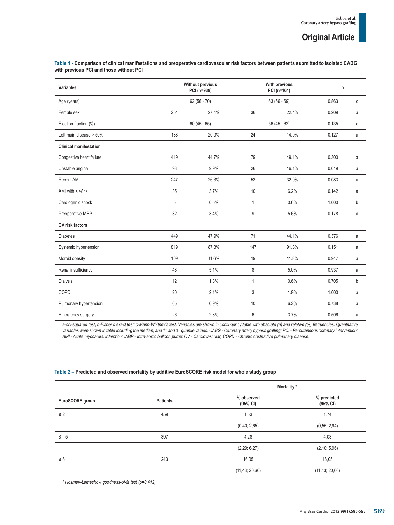| Variables                     |     | <b>Without previous</b><br>PCI (n=938)<br>$62(56 - 70)$ |              | With previous<br>PCI (n=161)<br>$63(56-69)$ |       | p            |  |
|-------------------------------|-----|---------------------------------------------------------|--------------|---------------------------------------------|-------|--------------|--|
| Age (years)                   |     |                                                         |              |                                             |       | $\mathtt{C}$ |  |
| Female sex                    | 254 | 27.1%                                                   | 36           | 22.4%                                       | 0.209 | a            |  |
| Ejection fraction (%)         |     | $60(45 - 65)$                                           |              | $56(45 - 62)$                               |       | $\mathtt{C}$ |  |
| Left main disease > 50%       | 188 | 20.0%                                                   | 24           | 14.9%                                       | 0.127 | a            |  |
| <b>Clinical manifestation</b> |     |                                                         |              |                                             |       |              |  |
| Congestive heart failure      | 419 | 44.7%                                                   | 79           | 49.1%                                       | 0.300 | a            |  |
| Unstable angina               | 93  | 9.9%                                                    | 26           | 16.1%                                       | 0.019 | a            |  |
| Recent AMI                    | 247 | 26.3%                                                   | 53           | 32.9%                                       | 0.083 | a            |  |
| AMI with $<$ 48hs             | 35  | 3.7%                                                    | 10           | 6.2%                                        | 0.142 | a            |  |
| Cardiogenic shock             | 5   | 0.5%                                                    | $\mathbf{1}$ | 0.6%                                        | 1.000 | b            |  |
| Preoperative IABP             | 32  | 3.4%                                                    | 9            | 5.6%                                        | 0.178 | a            |  |
| <b>CV</b> risk factors        |     |                                                         |              |                                             |       |              |  |
| <b>Diabetes</b>               | 449 | 47.9%                                                   | 71           | 44.1%                                       | 0.376 | a            |  |
| Systemic hypertension         | 819 | 87.3%                                                   | 147          | 91.3%                                       | 0.151 | a            |  |
| Morbid obesity                | 109 | 11.6%                                                   | 19           | 11.8%                                       | 0.947 | a            |  |
| Renal insufficiency           | 48  | 5.1%                                                    | 8            | 5.0%                                        | 0.937 | a            |  |
| <b>Dialysis</b>               | 12  | 1.3%                                                    | $\mathbf{1}$ | 0.6%                                        | 0.705 | b            |  |
| COPD                          | 20  | 2.1%                                                    | 3            | 1.9%                                        | 1.000 | a            |  |
| Pulmonary hypertension        | 65  | 6.9%                                                    | 10           | 6.2%                                        | 0.738 | a            |  |
| Emergency surgery             | 26  | 2.8%                                                    | 6            | 3.7%                                        | 0.506 | a            |  |

**Table 1 - Comparison of clinical manifestations and preoperative cardiovascular risk factors between patients submitted to isolated CABG with previous PCI and those without PCI**

a-chi-squared test; b-Fisher's exact test; c-Mann-Whitney's test. Variables are shown in contingency table with absolute (n) and relative (%) frequencies. Quantitative variables were shown in table including the median, and 1<sup>st</sup> and 3<sup>rd</sup> quartile values. CABG - Coronary artery bypass grafting; PCI - Percutaneous coronary intervention; *AMI - Acute myocardial infarction; IABP - Intra-aortic balloon pump; CV - Cardiovascular; COPD - Chronic obstructive pulmonary disease.*

#### **Table 2 – Predicted and observed mortality by additive EuroSCORE risk model for whole study group**

|                 |                 | Mortality *            |                         |  |
|-----------------|-----------------|------------------------|-------------------------|--|
| EuroSCORE group | <b>Patients</b> | % observed<br>(95% CI) | % predicted<br>(95% CI) |  |
| $\leq$ 2        | 459             | 1,53                   | 1,74                    |  |
|                 |                 | (0,40; 2,65)           | (0,55; 2,94)            |  |
| $3 - 5$         | 397             | 4,28                   | 4,03                    |  |
|                 |                 | (2,29; 6,27)           | (2, 10; 5, 96)          |  |
| $\geq 6$        | 243             | 16,05                  | 16,05                   |  |
|                 |                 | (11, 43; 20, 66)       | (11, 43; 20, 66)        |  |

*\* Hosmer–Lemeshow goodness-of-fit test (p=0,412)*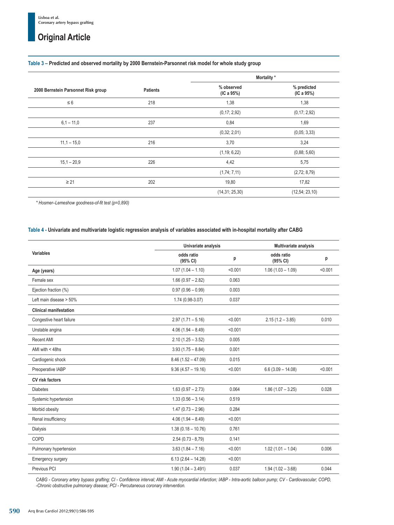#### **Table 3 – Predicted and observed mortality by 2000 Bernstein-Parsonnet risk model for whole study group**

|                                     |                 | Mortality *              |                           |
|-------------------------------------|-----------------|--------------------------|---------------------------|
| 2000 Bernstein Parsonnet Risk group | <b>Patients</b> | % observed<br>(IC a 95%) | % predicted<br>(IC a 95%) |
| $\leq 6$                            | 218             | 1,38                     | 1,38                      |
|                                     |                 | (0, 17; 2, 92)           | (0,17; 2,92)              |
| $6,1 - 11,0$                        | 237             | 0,84                     | 1,69                      |
|                                     |                 | (0,32; 2,01)             | (0,05; 3,33)              |
| $11,1 - 15,0$                       | 216             | 3,70                     | 3,24                      |
|                                     |                 | (1, 19; 6, 22)           | (0,88; 5,60)              |
| $15,1 - 20,9$                       | 226             | 4,42                     | 5,75                      |
|                                     |                 | (1,74; 7,11)             | (2,72; 8,79)              |
| $\geq$ 21                           | 202             | 19,80                    | 17,82                     |
|                                     |                 | (14, 31; 25, 30)         | (12,54; 23,10)            |

*\* Hosmer–Lemeshow goodness-of-fit test (p=0,890)*

#### **Table 4 - Univariate and multivariate logistic regression analysis of variables associated with in-hospital mortality after CABG**

|                               | Univariate analysis    |         | Multivariate analysis  |         |  |
|-------------------------------|------------------------|---------|------------------------|---------|--|
| Variables                     | odds ratio<br>(95% CI) | p       | odds ratio<br>(95% CI) | p       |  |
| Age (years)                   | $1.07(1.04 - 1.10)$    | < 0.001 | $1.06(1.03 - 1.09)$    | < 0.001 |  |
| Female sex                    | $1.66(0.97 - 2.82)$    | 0.063   |                        |         |  |
| Ejection fraction (%)         | $0.97(0.96 - 0.99)$    | 0.003   |                        |         |  |
| Left main disease > 50%       | 1.74 (0.98-3.07)       | 0.037   |                        |         |  |
| <b>Clinical manifestation</b> |                        |         |                        |         |  |
| Congestive heart failure      | $2.97(1.71 - 5.16)$    | < 0.001 | $2.15(1.2 - 3.85)$     | 0.010   |  |
| Unstable angina               | $4.06(1.94 - 8.49)$    | < 0.001 |                        |         |  |
| Recent AMI                    | $2.10(1.25 - 3.52)$    | 0.005   |                        |         |  |
| AMI with $<$ 48hs             | $3.93(1.75 - 8.84)$    | 0.001   |                        |         |  |
| Cardiogenic shock             | $8.46(1.52 - 47.09)$   | 0.015   |                        |         |  |
| Preoperative IABP             | $9.36(4.57 - 19.16)$   | < 0.001 | $6.6(3.09 - 14.08)$    | < 0.001 |  |
| <b>CV risk factors</b>        |                        |         |                        |         |  |
| <b>Diabetes</b>               | $1.63(0.97 - 2.73)$    | 0.064   | $1.86(1.07 - 3.25)$    | 0.028   |  |
| Systemic hypertension         | $1.33(0.56 - 3.14)$    | 0.519   |                        |         |  |
| Morbid obesity                | $1.47(0.73 - 2.96)$    | 0.284   |                        |         |  |
| Renal insufficiency           | $4.06(1.94 - 8.49)$    | < 0.001 |                        |         |  |
| Dialysis                      | $1.38(0.18 - 10.76)$   | 0.761   |                        |         |  |
| COPD                          | $2.54(0.73 - 8.79)$    | 0.141   |                        |         |  |
| Pulmonary hypertension        | $3.63(1.84 - 7.16)$    | < 0.001 | $1.02(1.01 - 1.04)$    | 0.006   |  |
| Emergency surgery             | $6.13(2.64 - 14.28)$   | < 0.001 |                        |         |  |
| Previous PCI                  | $1.90(1.04 - 3.491)$   | 0.037   | $1.94(1.02 - 3.68)$    | 0.044   |  |

*CABG - Coronary artery bypass grafting; CI - Confidence interval; AMI - Acute myocardial infarction; IABP - Intra-aortic balloon pump; CV - Cardiovascular; COPD, -Chronic obstructive pulmonary disease; PCI - Percutaneous coronary intervention.*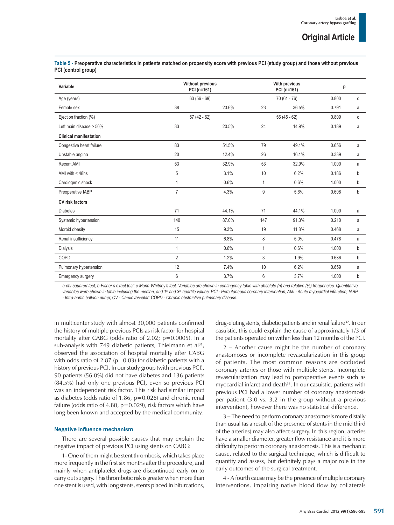**Table 5 - Preoperative characteristics in patients matched on propensity score with previous PCI (study group) and those without previous PCI (control group)**

| Variable                      | <b>Without previous</b><br>PCI (n=161) |             | With previous<br>PCI (n=161) |               | p     |   |
|-------------------------------|----------------------------------------|-------------|------------------------------|---------------|-------|---|
| Age (years)                   |                                        | $63(56-69)$ |                              | $70(61 - 76)$ |       | C |
| Female sex                    | 38                                     | 23.6%       | 23                           | 36.5%         | 0.791 | a |
| Ejection fraction (%)         | $57(42-62)$                            |             | $56(45 - 62)$                |               | 0.809 | C |
| Left main disease > 50%       | 33                                     | 20.5%       | 24                           | 14.9%         | 0.189 | a |
| <b>Clinical manifestation</b> |                                        |             |                              |               |       |   |
| Congestive heart failure      | 83                                     | 51.5%       | 79                           | 49.1%         | 0.656 | a |
| Unstable angina               | 20                                     | 12.4%       | 26                           | 16.1%         | 0.339 | a |
| <b>Recent AMI</b>             | 53                                     | 32.9%       | 53                           | 32.9%         | 1.000 | a |
| AMI with $<$ 48hs             | 5                                      | 3.1%        | 10                           | 6.2%          | 0.186 | b |
| Cardiogenic shock             | 1                                      | 0.6%        | $\mathbf{1}$                 | 0.6%          | 1.000 | b |
| Preoperative IABP             | 7                                      | 4.3%        | 9                            | 5.6%          | 0.608 | b |
| CV risk factors               |                                        |             |                              |               |       |   |
| <b>Diabetes</b>               | 71                                     | 44.1%       | 71                           | 44.1%         | 1.000 | a |
| Systemic hypertension         | 140                                    | 87.0%       | 147                          | 91.3%         | 0.210 | a |
| Morbid obesity                | 15                                     | 9.3%        | 19                           | 11.8%         | 0.468 | a |
| Renal insufficiency           | 11                                     | 6.8%        | 8                            | 5.0%          | 0.478 | a |
| <b>Dialysis</b>               | 1                                      | 0.6%        | $\mathbf{1}$                 | 0.6%          | 1.000 | b |
| COPD                          | $\overline{2}$                         | 1.2%        | 3                            | 1.9%          | 0.686 | b |
| Pulmonary hypertension        | 12                                     | 7.4%        | 10                           | 6.2%          | 0.659 | a |
| <b>Emergency surgery</b>      | 6                                      | 3.7%        | 6                            | 3.7%          | 1.000 | b |

a-chi-squared test; b-Fisher's exact test; c-Mann-Whitney's test. Variables are shown in contingency table with absolute (n) and relative (%) frequencies. Quantitative variables were shown in table including the median, and 1<sup>st</sup> and 3<sup>rd</sup> quartile values. PCI - Percutaneous coronary intervention; AMI - Acute myocardial infarction; IABP *- Intra-aortic balloon pump; CV - Cardiovascular; COPD - Chronic obstructive pulmonary disease.*

in multicenter study with almost 30,000 patients confirmed the history of multiple previous PCIs as risk factor for hospital mortality after CABG (odds ratio of 2.02; p=0.0005). In a sub-analysis with 749 diabetic patients, Thielmann et al<sup>31</sup>, observed the association of hospital mortality after CABG with odds ratio of 2.87 ( $p=0.03$ ) for diabetic patients with a history of previous PCI. In our study group (with previous PCI), 90 patients (56.0%) did not have diabetes and 136 patients (84.5%) had only one previous PCI, even so previous PCI was an independent risk factor. This risk had similar impact as diabetes (odds ratio of 1.86, p=0.028) and chronic renal failure (odds ratio of 4.80,  $p=0.029$ ), risk factors which have long been known and accepted by the medical community.

#### Negative influence mechanism

There are several possible causes that may explain the negative impact of previous PCI using stents on CABG:

1- One of them might be stent thrombosis, which takes place more frequently in the first six months after the procedure, and mainly when antiplatelet drugs are discontinued early on to carry out surgery. This thrombotic risk is greater when more than one stent is used, with long stents, stents placed in bifurcations,

drug-eluting stents, diabetic patients and in renal failure<sup>32</sup>. In our casuistic, this could explain the cause of approximately 1/3 of the patients operated on within less than 12 months of the PCI.

2 – Another cause might be the number of coronary anastomoses or incomplete revascularization in this group of patients. The most common reasons are occluded coronary arteries or those with multiple stents. Incomplete revascularization may lead to postoperative events such as myocardial infarct and death<sup>33</sup>. In our casuistic, patients with previous PCI had a lower number of coronary anastomosis per patient (3.0 vs. 3.2 in the group without a previous intervention), however there was no statistical difference.

3 – The need to perform coronary anastomosis more distally than usual (as a result of the presence of stents in the mid third of the arteries) may also affect surgery. In this region, arteries have a smaller diameter, greater flow resistance and it is more difficulty to perform coronary anastomosis. This is a mechanic cause, related to the surgical technique, which is difficult to quantify and assess, but definitely plays a major role in the early outcomes of the surgical treatment.

4 - A fourth cause may be the presence of multiple coronary interventions, impairing native blood flow by collaterals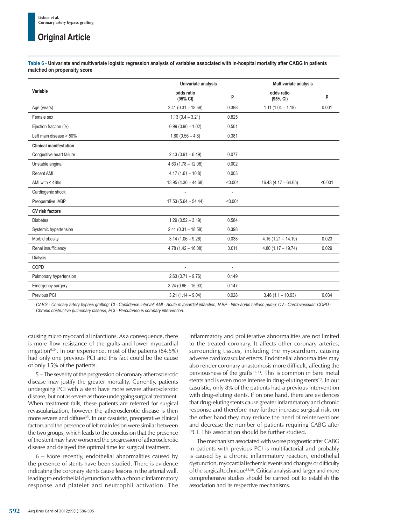**Table 6 - Univariate and multivariate logistic regression analysis of variables associated with in-hospital mortality after CABG in patients matched on propensity score**

|                               | Univariate analysis    |                          | <b>Multivariate analysis</b> |         |  |
|-------------------------------|------------------------|--------------------------|------------------------------|---------|--|
| Variable                      | odds ratio<br>(95% CI) | p                        | odds ratio<br>(95% CI)       | p       |  |
| Age (years)                   | $2.41(0.31 - 18.58)$   | 0.398                    | $1.11(1.04 - 1.18)$          | 0.001   |  |
| Female sex                    | $1.13(0.4 - 3.21)$     | 0.825                    |                              |         |  |
| Ejection fraction (%)         | $0.99(0.96 - 1.02)$    | 0.501                    |                              |         |  |
| Left main disease > 50%       | $1.60(0.56 - 4.6)$     | 0.381                    |                              |         |  |
| <b>Clinical manifestation</b> |                        |                          |                              |         |  |
| Congestive heart failure      | $2.43(0.91 - 6.49)$    | 0.077                    |                              |         |  |
| Unstable angina               | $4.63(1.78 - 12.06)$   | 0.002                    |                              |         |  |
| Recent AMI                    | $4.17(1.61 - 10.8)$    | 0.003                    |                              |         |  |
| AMI with $<$ 48hs             | $13.95(4.36 - 44.68)$  | < 0.001                  | $16.43(4.17 - 64.65)$        | < 0.001 |  |
| Cardiogenic shock             |                        |                          |                              |         |  |
| Preoperative IABP             | $17.53(5.64 - 54.44)$  | < 0.001                  |                              |         |  |
| CV risk factors               |                        |                          |                              |         |  |
| <b>Diabetes</b>               | $1.29(0.52 - 3.19)$    | 0.584                    |                              |         |  |
| Systemic hypertension         | $2.41(0.31 - 18.58)$   | 0.398                    |                              |         |  |
| Morbid obesity                | $3.14(1.06 - 9.26)$    | 0.038                    | $4.15(1.21 - 14.19)$         | 0.023   |  |
| Renal insufficiency           | $4.78(1.42 - 16.08)$   | 0.011                    | $4.80(1.17 - 19.74)$         | 0.029   |  |
| <b>Dialysis</b>               |                        | $\overline{\phantom{a}}$ |                              |         |  |
| COPD                          | ٠                      | ä,                       |                              |         |  |
| Pulmonary hypertension        | $2.63(0.71 - 9.76)$    | 0.149                    |                              |         |  |
| <b>Emergency surgery</b>      | $3.24(0.66 - 15.93)$   | 0.147                    |                              |         |  |
| Previous PCI                  | $3.21(1.14 - 9.04)$    | 0.028                    | $3.46(1.1 - 10.93)$          | 0.034   |  |

*CABG - Coronary artery bypass grafting; CI - Confidence interval; AMI - Acute myocardial infarction; IABP - Intra-aortic balloon pump; CV - Cardiovascular; COPD - Chronic obstructive pulmonary disease; PCI - Percutaneous coronary intervention.*

causing micro myocardial infarctions. As a consequence, there is more flow resistance of the grafts and lower myocardial irrigation<sup>9,34</sup>. In our experience, most of the patients  $(84.5\%)$ had only one previous PCI and this fact could be the cause of only 15% of the patients.

5 – The severity of the progression of coronary atherosclerotic disease may justify the greater mortality. Currently, patients undergoing PCI with a stent have more severe atherosclerotic disease, but not as severe as those undergoing surgical treatment. When treatment fails, these patients are referred for surgical revascularization, however the atherosclerotic disease is then more severe and diffuse<sup>35</sup>. In our casuistic, preoperative clinical factors and the presence of left main lesion were similar between the two groups, which leads to the conclusion that the presence of the stent may have worsened the progression of atherosclerotic disease and delayed the optimal time for surgical treatment.

6 – More recently, endothelial abnormalities caused by the presence of stents have been studied. There is evidence indicating the coronary stents cause lesions in the arterial wall, leading to endothelial dysfunction with a chronic inflammatory response and platelet and neutrophil activation. The inflammatory and proliferative abnormalities are not limited to the treated coronary. It affects other coronary arteries, surrounding tissues, including the myocardium, causing adverse cardiovascular effects. Endothelial abnormalities may also render coronary anastomosis more difficult, affecting the perviousness of the grafts<sup>11-13</sup>. This is common in bare metal stents and is even more intense in drug-eluting stents<sup>13</sup>. In our casuistic, only 8% of the patients had a previous intervention with drug-eluting stents. If on one hand, there are evidences that drug-eluting stents cause greater inflammatory and chronic response and therefore may further increase surgical risk, on the other hand they may reduce the need of reinterventions and decrease the number of patients requiring CABG after PCI. This association should be further studied.

The mechanism associated with worse prognostic after CABG in patients with previous PCI is multifactorial and probably is caused by a chronic inflammatory reaction, endothelial dysfunction, myocardial ischemic events and changes or difficulty of the surgical technique<sup>15,36</sup>. Critical analysis and larger and more comprehensive studies should be carried out to establish this association and its respective mechanisms.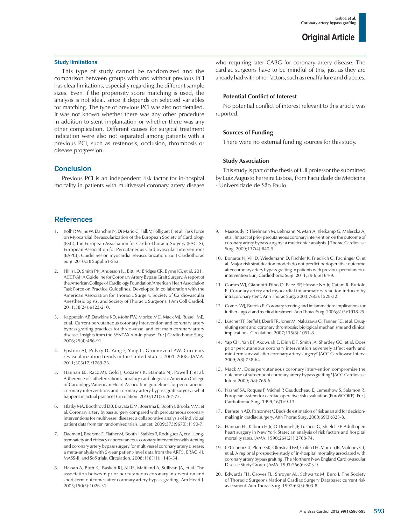#### Study limitations

This type of study cannot be randomized and the comparison between groups with and without previous PCI has clear limitations, especially regarding the different sample sizes. Even if the propensity score matching is used, the analysis is not ideal, since it depends on selected variables for matching. The type of previous PCI was also not detailed. It was not known whether there was any other procedure in addition to stent implantation or whether there was any other complication. Different causes for surgical treatment indication were also not separated among patients with a previous PCI, such as restenosis, occlusion, thrombosis or disease progression.

#### **Conclusion**

Previous PCI is an independent risk factor for in-hospital mortality in patients with multivessel coronary artery disease

#### **References**

- 1. Kolh P, Wijns W, Danchin N, Di Mario C, Falk V, Folliguet T, et al; Task Force on Myocardial Revascularization of the European Society of Cardiology (ESC), the European Association for Cardio-Thoracic Surgery (EACTS), European Association for Percutaneous Cardiovascular Interventions (EAPCI). Guidelines on myocardial revascularization. Eur J Cardiothorac Surg. 2010;38 Suppl:S1-S52.
- 2. Hillis LD, Smith PK, Anderson JL, Bittl JA, Bridges CR, Byrne JG, et al. 2011 ACCF/AHA Guideline for Coronary Artery Bypass Graft Surgery. A report of the American College of Cardiology Foundation/American Heart Association Task Force on Practice Guidelines. Developed in collaboration with the American Association for Thoracic Surgery, Society of Cardiovascular Anesthesiologists, and Society of Thoracic Surgeons. J Am Coll Cardiol. 2011;58(24):e123-210.
- 3. Kappetein AP, Dawkins KD, Mohr FW, Morice MC, Mack MJ, Russell ME, et al. Current percutaneous coronary intervention and coronary artery bypass grafting practices for three-vessel and left main coronary artery disease. Insights from the SYNTAX run-in phase. Eur J Cardiothorac Surg. 2006;29(4):486-91.
- 4. Epstein AJ, Polsky D, Yang F, Yang L, Groeneveld PW. Coronary revascularization trends in the United States, 2001-2008. JAMA. 2011;305(17):1769-76.
- 5. Hannan EL, Racz MJ, Gold J, Cozzens K, Stamato NJ, Powell T, et al. Adherence of catheterization laboratory cardiologists to American College of Cardiology/American Heart Association guidelines for percutaneous coronary interventions and coronary artery bypass graft surgery: what happens in actual practice? Circulation. 2010;121(2):267-75.
- 6. Hlatky MA, Boothroyd DB, Bravata DM, Boersma E, Booth J, Brooks MM, et al. Coronary artery bypass surgery compared with percutaneous coronary interventions for multivessel disease: a collaborative analysis of individual patient data from ten randomised trials. Lancet. 2009;373(9670):1190-7.
- 7. Daemen J, Boersma E, Flather M, Booth J, Stables R, Rodriguez A, et al. Longterm safety and efficacy of percutaneous coronary intervention with stenting and coronary artery bypass surgery for multivessel coronary artery disease: a meta-analysis with 5-year patient-level data from the ARTS, ERACI-II, MASS-II, and SoS trials. Circulation. 2008;118(11):1146-54.
- 8. Hassan A, Buth KJ, Baskett RJ, Ali IS, Maitland A, Sullivan JA, et al. The association between prior percutaneous coronary intervention and short-term outcomes after coronary artery bypass grafting. Am Heart J. 2005;150(5):1026-31.

who requiring later CABG for coronary artery disease. The cardiac surgeons have to be mindful of this, just as they are already had with other factors, such as renal failure and diabetes.

#### **Potential Conflict of Interest**

No potential conflict of interest relevant to this article was reported.

#### **Sources of Funding**

There were no external funding sources for this study.

#### **Study Association**

This study is part of the thesis of full professor the submitted by Luiz Augusto Ferreira Lisboa, from Faculdade de Medicina - Universidade de São Paulo.

- 9. Massoudy P, Thielmann M, Lehmann N, Marr A, Kleikamp G, Maleszka A, et al. Impact of prior percutaneous coronary intervention on the outcome of coronary artery bypass surgery: a multicenter analysis. J Thorac Cardiovasc Surg. 2009;137(4):840-5.
- 10. Bonaros N, Vill D, Wiedemann D, Fischler K, Friedrich G, Pachinger O, et al. Major risk stratification models do not predict perioperative outcome after coronary artery bypass grafting in patients with previous percutaneous intervention Eur J Cardiothorac Surg. 2011;39(6):e164-9.
- 11. Gomes WJ, Giannotti-Filho O, Paez RP, Hossne NA Jr, Catani R, Buffolo E. Coronary artery and myocardial inflammatory reaction induced by intracoronary stent. Ann Thorac Surg. 2003;76(5):1528-32.
- 12. Gomes WJ, Buffolo E. Coronary stenting and inflammation: implications for further surgical and medical treatment. Ann Thorac Surg. 2006;81(5):1918-25.
- 13. Lüscher TF, Steffel J, Eberli FR, Joner M, Nakazawa G, Tanner FC, et al. Drugeluting stent and coronary thrombosis: biological mechanisms and clinical implications. Circulation. 2007;115(8):1051-8.
- 14. Yap CH, Yan BP, Akowuah E, Dinh DT, Smith JA, Shardey GC, et al. Does prior percutaneous coronary intervention adversely affect early and mid-term survival after coronary artery surgery? JACC Cardiovasc Interv. 2009;2(8):758-64.
- 15. Mack M. Does percutaneous coronary intervention compromise the outcome of subsequent coronary artery bypass grafting? JACC Cardiovasc Interv. 2009;2(8):765-6.
- 16. Nashef SA, Roques F, Michel P, Gauducheau E, Lemeshow S, Salamon R. European system for cardiac operative risk evaluation (EuroSCORE). Eur J Cardiothorac Surg. 1999;16(1):9-13.
- 17. Bernstein AD, Parsonnet V. Bedside estimation of risk as an aid for decisionmaking in cardiac surgery. Ann Thorac Surg. 2000;69(3):823-8.
- 18. Hannan EL, Kilburn H Jr, O'Donnell JF, Lukacik G, Shields EP. Adult open heart surgery in New York State: an analysis of risk factors and hospital mortality rates. JAMA. 1990;264(21):2768-74.
- 19. O'Connor GT, Plume SK, Olmstead EM, Coffin LH, Morton JR, Maloney CT, et al. A regional prospective study of in-hospital mortality associated with coronary artery bypass grafting. The Northern New England Cardiovascular Disease Study Group. JAMA. 1991;266(6):803-9.
- 20. Edwards FH, Grover FL, Shroyer AL, Schwartz M, Bero J. The Society of Thoracic Surgeons National Cardiac Surgery Database: current risk assessment. Ann Thorac Surg. 1997;63(3):903-8.